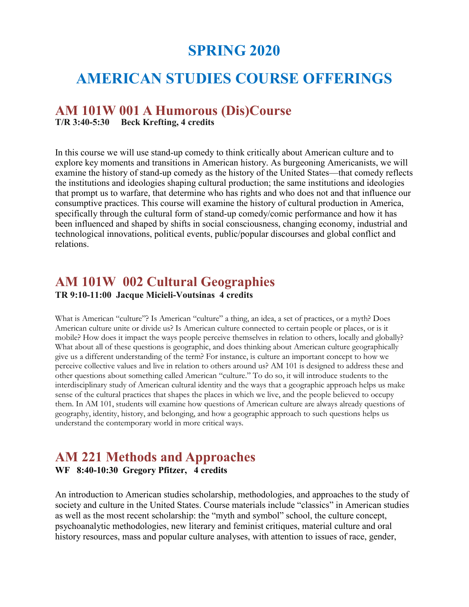# **SPRING 2020**

# **AMERICAN STUDIES COURSE OFFERINGS**

### **AM 101W 001 A Humorous (Dis)Course**

**T/R 3:40-5:30 Beck Krefting, 4 credits**

In this course we will use stand-up comedy to think critically about American culture and to explore key moments and transitions in American history. As burgeoning Americanists, we will examine the history of stand-up comedy as the history of the United States—that comedy reflects the institutions and ideologies shaping cultural production; the same institutions and ideologies that prompt us to warfare, that determine who has rights and who does not and that influence our consumptive practices. This course will examine the history of cultural production in America, specifically through the cultural form of stand-up comedy/comic performance and how it has been influenced and shaped by shifts in social consciousness, changing economy, industrial and technological innovations, political events, public/popular discourses and global conflict and relations.

## **AM 101W 002 Cultural Geographies**

**TR 9:10-11:00 Jacque Micieli-Voutsinas 4 credits**

What is American "culture"? Is American "culture" a thing, an idea, a set of practices, or a myth? Does American culture unite or divide us? Is American culture connected to certain people or places, or is it mobile? How does it impact the ways people perceive themselves in relation to others, locally and globally? What about all of these questions is geographic, and does thinking about American culture geographically give us a different understanding of the term? For instance, is culture an important concept to how we perceive collective values and live in relation to others around us? AM 101 is designed to address these and other questions about something called American "culture." To do so, it will introduce students to the interdisciplinary study of American cultural identity and the ways that a geographic approach helps us make sense of the cultural practices that shapes the places in which we live, and the people believed to occupy them. In AM 101, students will examine how questions of American culture are always already questions of geography, identity, history, and belonging, and how a geographic approach to such questions helps us understand the contemporary world in more critical ways.

### **AM 221 Methods and Approaches WF 8:40-10:30 Gregory Pfitzer, 4 credits**

An introduction to American studies scholarship, methodologies, and approaches to the study of society and culture in the United States. Course materials include "classics" in American studies as well as the most recent scholarship: the "myth and symbol" school, the culture concept, psychoanalytic methodologies, new literary and feminist critiques, material culture and oral history resources, mass and popular culture analyses, with attention to issues of race, gender,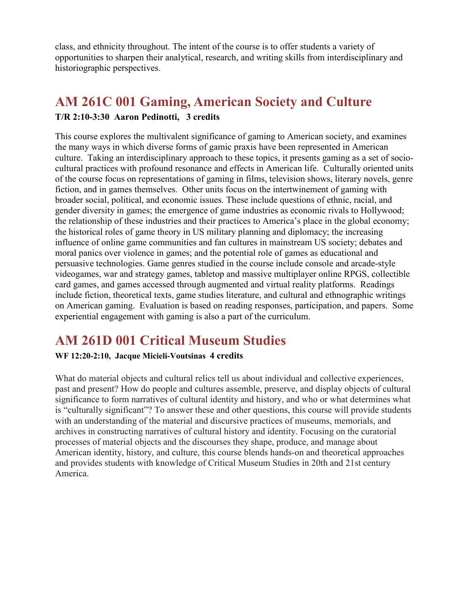class, and ethnicity throughout. The intent of the course is to offer students a variety of opportunities to sharpen their analytical, research, and writing skills from interdisciplinary and historiographic perspectives.

## **AM 261C 001 Gaming, American Society and Culture**

#### **T/R 2:10-3:30 Aaron Pedinotti, 3 credits**

This course explores the multivalent significance of gaming to American society, and examines the many ways in which diverse forms of gamic praxis have been represented in American culture. Taking an interdisciplinary approach to these topics, it presents gaming as a set of sociocultural practices with profound resonance and effects in American life. Culturally oriented units of the course focus on representations of gaming in films, television shows, literary novels, genre fiction, and in games themselves. Other units focus on the intertwinement of gaming with broader social, political, and economic issues. These include questions of ethnic, racial, and gender diversity in games; the emergence of game industries as economic rivals to Hollywood; the relationship of these industries and their practices to America's place in the global economy; the historical roles of game theory in US military planning and diplomacy; the increasing influence of online game communities and fan cultures in mainstream US society; debates and moral panics over violence in games; and the potential role of games as educational and persuasive technologies. Game genres studied in the course include console and arcade-style videogames, war and strategy games, tabletop and massive multiplayer online RPGS, collectible card games, and games accessed through augmented and virtual reality platforms. Readings include fiction, theoretical texts, game studies literature, and cultural and ethnographic writings on American gaming. Evaluation is based on reading responses, participation, and papers. Some experiential engagement with gaming is also a part of the curriculum.

# **AM 261D 001 Critical Museum Studies**

#### **WF 12:20-2:10, Jacque Micieli-Voutsinas 4 credits**

What do material objects and cultural relics tell us about individual and collective experiences, past and present? How do people and cultures assemble, preserve, and display objects of cultural significance to form narratives of cultural identity and history, and who or what determines what is "culturally significant"? To answer these and other questions, this course will provide students with an understanding of the material and discursive practices of museums, memorials, and archives in constructing narratives of cultural history and identity. Focusing on the curatorial processes of material objects and the discourses they shape, produce, and manage about American identity, history, and culture, this course blends hands-on and theoretical approaches and provides students with knowledge of Critical Museum Studies in 20th and 21st century America.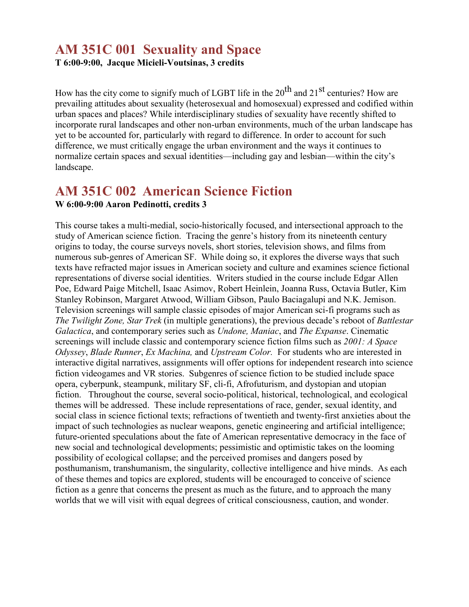## **AM 351C 001 Sexuality and Space**

**T 6:00-9:00, Jacque Micieli-Voutsinas, 3 credits**

How has the city come to signify much of LGBT life in the  $20^{th}$  and  $21^{st}$  centuries? How are prevailing attitudes about sexuality (heterosexual and homosexual) expressed and codified within urban spaces and places? While interdisciplinary studies of sexuality have recently shifted to incorporate rural landscapes and other non-urban environments, much of the urban landscape has yet to be accounted for, particularly with regard to difference. In order to account for such difference, we must critically engage the urban environment and the ways it continues to normalize certain spaces and sexual identities—including gay and lesbian—within the city's landscape.

### **AM 351C 002 American Science Fiction W 6:00-9:00 Aaron Pedinotti, credits 3**

This course takes a multi-medial, socio-historically focused, and intersectional approach to the study of American science fiction. Tracing the genre's history from its nineteenth century origins to today, the course surveys novels, short stories, television shows, and films from numerous sub-genres of American SF. While doing so, it explores the diverse ways that such texts have refracted major issues in American society and culture and examines science fictional representations of diverse social identities. Writers studied in the course include Edgar Allen Poe, Edward Paige Mitchell, Isaac Asimov, Robert Heinlein, Joanna Russ, Octavia Butler, Kim Stanley Robinson, Margaret Atwood, William Gibson, Paulo Baciagalupi and N.K. Jemison. Television screenings will sample classic episodes of major American sci-fi programs such as *The Twilight Zone, Star Trek* (in multiple generations), the previous decade's reboot of *Battlestar Galactica*, and contemporary series such as *Undone, Maniac*, and *The Expanse*. Cinematic screenings will include classic and contemporary science fiction films such as *2001: A Space Odyssey*, *Blade Runner*, *Ex Machina,* and *Upstream Color.* For students who are interested in interactive digital narratives, assignments will offer options for independent research into science fiction videogames and VR stories. Subgenres of science fiction to be studied include space opera, cyberpunk, steampunk, military SF, cli-fi, Afrofuturism, and dystopian and utopian fiction. Throughout the course, several socio-political, historical, technological, and ecological themes will be addressed. These include representations of race, gender, sexual identity, and social class in science fictional texts; refractions of twentieth and twenty-first anxieties about the impact of such technologies as nuclear weapons, genetic engineering and artificial intelligence; future-oriented speculations about the fate of American representative democracy in the face of new social and technological developments; pessimistic and optimistic takes on the looming possibility of ecological collapse; and the perceived promises and dangers posed by posthumanism, transhumanism, the singularity, collective intelligence and hive minds. As each of these themes and topics are explored, students will be encouraged to conceive of science fiction as a genre that concerns the present as much as the future, and to approach the many worlds that we will visit with equal degrees of critical consciousness, caution, and wonder.